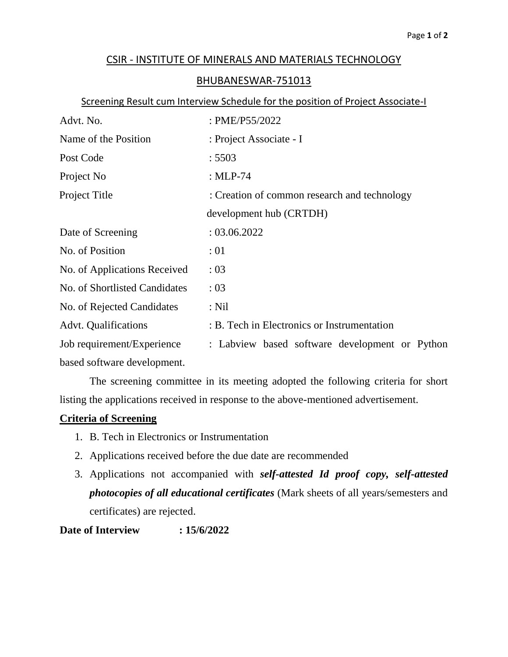## CSIR - INSTITUTE OF MINERALS AND MATERIALS TECHNOLOGY

## BHUBANESWAR-751013

## Screening Result cum Interview Schedule for the position of Project Associate-I

| Advt. No.                     | : PME/P55/2022                                 |  |  |
|-------------------------------|------------------------------------------------|--|--|
| Name of the Position          | : Project Associate - I                        |  |  |
| Post Code                     | : 5503                                         |  |  |
| Project No                    | : $MLP-74$                                     |  |  |
| Project Title                 | : Creation of common research and technology   |  |  |
|                               | development hub (CRTDH)                        |  |  |
| Date of Screening             | : 03.06.2022                                   |  |  |
| No. of Position               | :01                                            |  |  |
| No. of Applications Received  | : 03                                           |  |  |
| No. of Shortlisted Candidates | : 03                                           |  |  |
| No. of Rejected Candidates    | $:$ Nil                                        |  |  |
| <b>Advt. Qualifications</b>   | : B. Tech in Electronics or Instrumentation    |  |  |
| Job requirement/Experience    | : Labview based software development or Python |  |  |
| based software development.   |                                                |  |  |

The screening committee in its meeting adopted the following criteria for short listing the applications received in response to the above-mentioned advertisement.

## **Criteria of Screening**

- 1. B. Tech in Electronics or Instrumentation
- 2. Applications received before the due date are recommended
- 3. Applications not accompanied with *self-attested Id proof copy, self-attested photocopies of all educational certificates* (Mark sheets of all years/semesters and certificates) are rejected.

**Date of Interview : 15/6/2022**